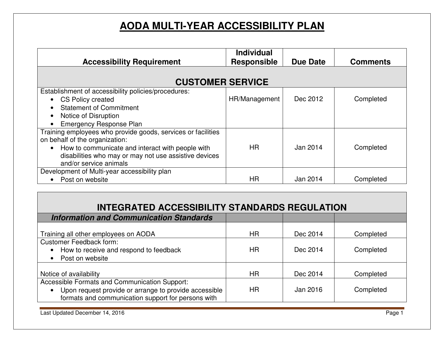## **AODA MULTI-YEAR ACCESSIBILITY PLAN**

| <b>Accessibility Requirement</b>                                                                                                                                                                                                      | <b>Individual</b><br><b>Responsible</b> | <b>Due Date</b> | <b>Comments</b> |  |
|---------------------------------------------------------------------------------------------------------------------------------------------------------------------------------------------------------------------------------------|-----------------------------------------|-----------------|-----------------|--|
| <b>CUSTOMER SERVICE</b>                                                                                                                                                                                                               |                                         |                 |                 |  |
| Establishment of accessibility policies/procedures:<br><b>CS Policy created</b><br><b>Statement of Commitment</b><br>Notice of Disruption<br><b>Emergency Response Plan</b>                                                           | HR/Management                           | Dec 2012        | Completed       |  |
| Training employees who provide goods, services or facilities<br>on behalf of the organization:<br>How to communicate and interact with people with<br>disabilities who may or may not use assistive devices<br>and/or service animals | HR.                                     | Jan 2014        | Completed       |  |
| Development of Multi-year accessibility plan<br>Post on website                                                                                                                                                                       | ΗR                                      | Jan 2014        | Completed       |  |

## **INTEGRATED ACCESSIBILITY STANDARDS REGULATION**

| <b>Information and Communication Standards</b>        |           |          |           |
|-------------------------------------------------------|-----------|----------|-----------|
|                                                       |           |          |           |
| Training all other employees on AODA                  | HR.       | Dec 2014 | Completed |
| <b>Customer Feedback form:</b>                        |           |          |           |
| How to receive and respond to feedback                | HR.       | Dec 2014 | Completed |
| • Post on website                                     |           |          |           |
|                                                       |           |          |           |
| Notice of availability                                | <b>HR</b> | Dec 2014 | Completed |
| Accessible Formats and Communication Support:         |           |          |           |
| Upon request provide or arrange to provide accessible | HR.       | Jan 2016 | Completed |
| formats and communication support for persons with    |           |          |           |
|                                                       |           |          |           |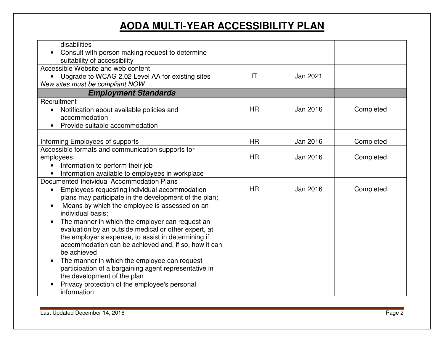## **AODA MULTI-YEAR ACCESSIBILITY PLAN**

| disabilities<br>Consult with person making request to determine<br>suitability of accessibility                                                                                                                                                                                                                                                                                                                                                                                                                                                                                                                                                                                         |                        |          |           |
|-----------------------------------------------------------------------------------------------------------------------------------------------------------------------------------------------------------------------------------------------------------------------------------------------------------------------------------------------------------------------------------------------------------------------------------------------------------------------------------------------------------------------------------------------------------------------------------------------------------------------------------------------------------------------------------------|------------------------|----------|-----------|
| Accessible Website and web content<br>• Upgrade to WCAG 2.02 Level AA for existing sites<br>New sites must be compliant NOW                                                                                                                                                                                                                                                                                                                                                                                                                                                                                                                                                             | $\mathsf{I}\mathsf{T}$ | Jan 2021 |           |
| <b>Employment Standards</b>                                                                                                                                                                                                                                                                                                                                                                                                                                                                                                                                                                                                                                                             |                        |          |           |
| Recruitment<br>Notification about available policies and<br>$\bullet$<br>accommodation<br>Provide suitable accommodation                                                                                                                                                                                                                                                                                                                                                                                                                                                                                                                                                                | <b>HR</b>              | Jan 2016 | Completed |
| Informing Employees of supports                                                                                                                                                                                                                                                                                                                                                                                                                                                                                                                                                                                                                                                         | <b>HR</b>              | Jan 2016 | Completed |
| Accessible formats and communication supports for<br>employees:<br>Information to perform their job<br>Information available to employees in workplace                                                                                                                                                                                                                                                                                                                                                                                                                                                                                                                                  | <b>HR</b>              | Jan 2016 | Completed |
| Documented Individual Accommodation Plans<br>Employees requesting individual accommodation<br>plans may participate in the development of the plan;<br>Means by which the employee is assessed on an<br>$\bullet$<br>individual basis;<br>The manner in which the employer can request an<br>evaluation by an outside medical or other expert, at<br>the employer's expense, to assist in determining if<br>accommodation can be achieved and, if so, how it can<br>be achieved<br>The manner in which the employee can request<br>participation of a bargaining agent representative in<br>the development of the plan<br>Privacy protection of the employee's personal<br>information | HR.                    | Jan 2016 | Completed |